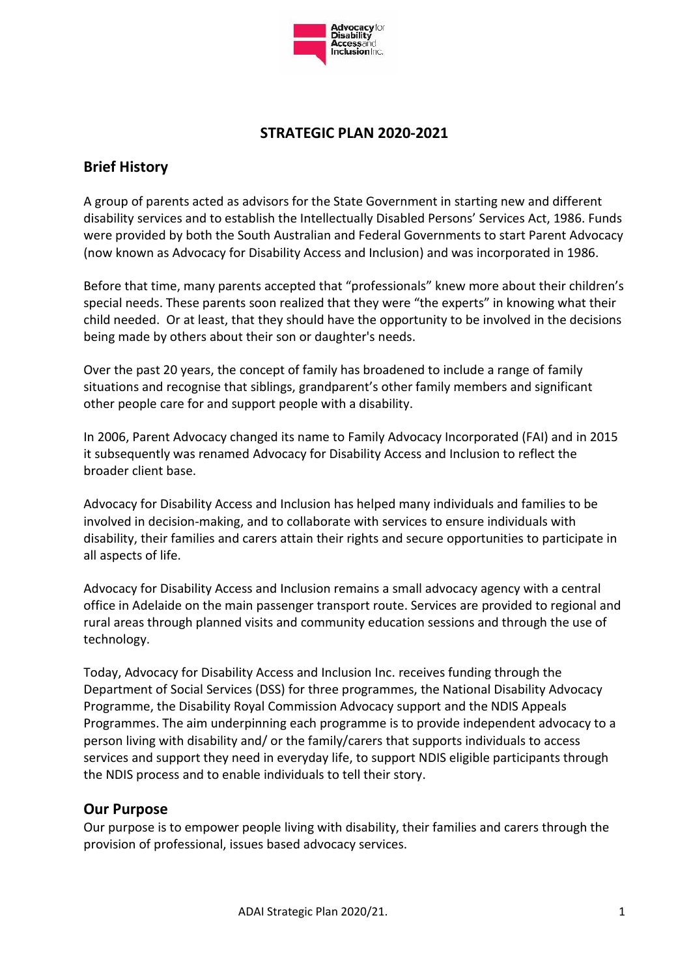

# **STRATEGIC PLAN 2020-2021**

# **Brief History**

A group of parents acted as advisors for the State Government in starting new and different disability services and to establish the Intellectually Disabled Persons' Services Act, 1986. Funds were provided by both the South Australian and Federal Governments to start Parent Advocacy (now known as Advocacy for Disability Access and Inclusion) and was incorporated in 1986.

Before that time, many parents accepted that "professionals" knew more about their children's special needs. These parents soon realized that they were "the experts" in knowing what their child needed. Or at least, that they should have the opportunity to be involved in the decisions being made by others about their son or daughter's needs.

Over the past 20 years, the concept of family has broadened to include a range of family situations and recognise that siblings, grandparent's other family members and significant other people care for and support people with a disability.

In 2006, Parent Advocacy changed its name to Family Advocacy Incorporated (FAI) and in 2015 it subsequently was renamed Advocacy for Disability Access and Inclusion to reflect the broader client base.

Advocacy for Disability Access and Inclusion has helped many individuals and families to be involved in decision-making, and to collaborate with services to ensure individuals with disability, their families and carers attain their rights and secure opportunities to participate in all aspects of life.

Advocacy for Disability Access and Inclusion remains a small advocacy agency with a central office in Adelaide on the main passenger transport route. Services are provided to regional and rural areas through planned visits and community education sessions and through the use of technology.

Today, Advocacy for Disability Access and Inclusion Inc. receives funding through the Department of Social Services (DSS) for three programmes, the National Disability Advocacy Programme, the Disability Royal Commission Advocacy support and the NDIS Appeals Programmes. The aim underpinning each programme is to provide independent advocacy to a person living with disability and/ or the family/carers that supports individuals to access services and support they need in everyday life, to support NDIS eligible participants through the NDIS process and to enable individuals to tell their story.

## **Our Purpose**

Our purpose is to empower people living with disability, their families and carers through the provision of professional, issues based advocacy services.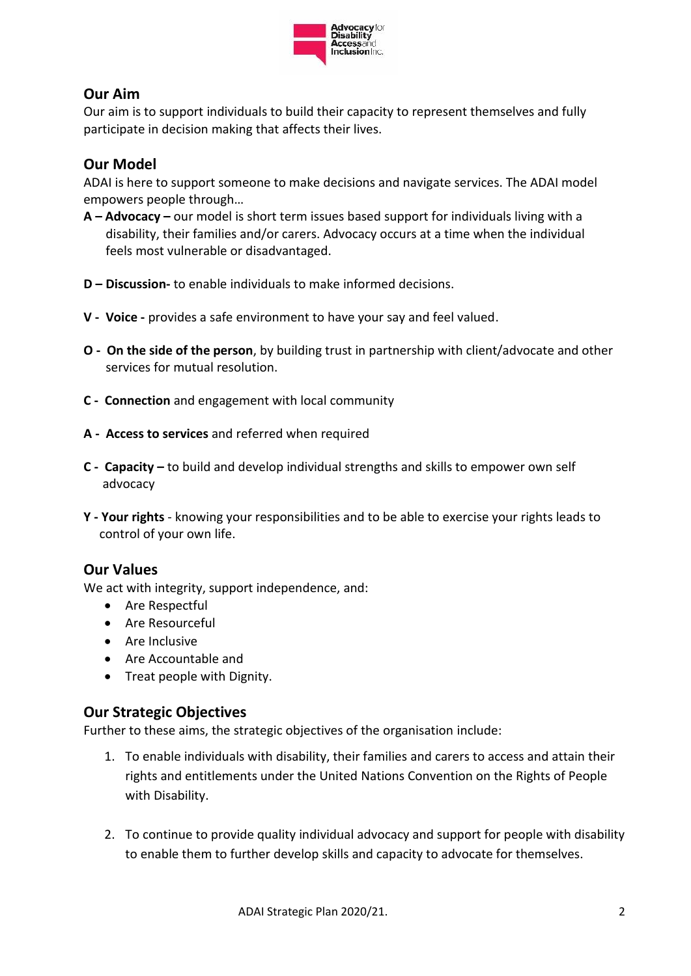

# **Our Aim**

Our aim is to support individuals to build their capacity to represent themselves and fully participate in decision making that affects their lives.

## **Our Model**

ADAI is here to support someone to make decisions and navigate services. The ADAI model empowers people through…

- **A – Advocacy –** our model is short term issues based support for individuals living with a disability, their families and/or carers. Advocacy occurs at a time when the individual feels most vulnerable or disadvantaged.
- **D – Discussion-** to enable individuals to make informed decisions.
- **V - Voice -** provides a safe environment to have your say and feel valued.
- **O - On the side of the person**, by building trust in partnership with client/advocate and other services for mutual resolution.
- **C - Connection** and engagement with local community
- **A - Access to services** and referred when required
- **C - Capacity –** to build and develop individual strengths and skills to empower own self advocacy
- **Y - Your rights**  knowing your responsibilities and to be able to exercise your rights leads to control of your own life.

## **Our Values**

We act with integrity, support independence, and:

- Are Respectful
- Are Resourceful
- Are Inclusive
- Are Accountable and
- Treat people with Dignity.

## **Our Strategic Objectives**

Further to these aims, the strategic objectives of the organisation include:

- 1. To enable individuals with disability, their families and carers to access and attain their rights and entitlements under the United Nations Convention on the Rights of People with Disability.
- 2. To continue to provide quality individual advocacy and support for people with disability to enable them to further develop skills and capacity to advocate for themselves.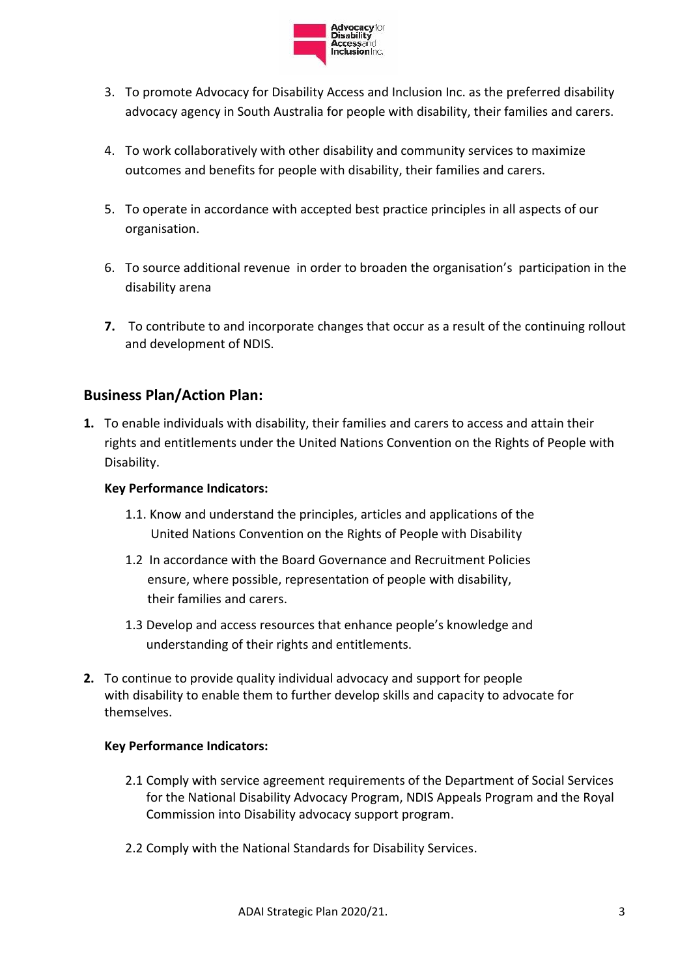

- 3. To promote Advocacy for Disability Access and Inclusion Inc. as the preferred disability advocacy agency in South Australia for people with disability, their families and carers.
- 4. To work collaboratively with other disability and community services to maximize outcomes and benefits for people with disability, their families and carers.
- 5. To operate in accordance with accepted best practice principles in all aspects of our organisation.
- 6. To source additional revenue in order to broaden the organisation's participation in the disability arena
- **7.** To contribute to and incorporate changes that occur as a result of the continuing rollout and development of NDIS.

# **Business Plan/Action Plan:**

**1.** To enable individuals with disability, their families and carers to access and attain their rights and entitlements under the United Nations Convention on the Rights of People with Disability.

### **Key Performance Indicators:**

- 1.1. Know and understand the principles, articles and applications of the United Nations Convention on the Rights of People with Disability
- 1.2 In accordance with the Board Governance and Recruitment Policies ensure, where possible, representation of people with disability, their families and carers.
- 1.3 Develop and access resources that enhance people's knowledge and understanding of their rights and entitlements.
- **2.** To continue to provide quality individual advocacy and support for people with disability to enable them to further develop skills and capacity to advocate for themselves.

## **Key Performance Indicators:**

- 2.1 Comply with service agreement requirements of the Department of Social Services for the National Disability Advocacy Program, NDIS Appeals Program and the Royal Commission into Disability advocacy support program.
- 2.2 Comply with the National Standards for Disability Services.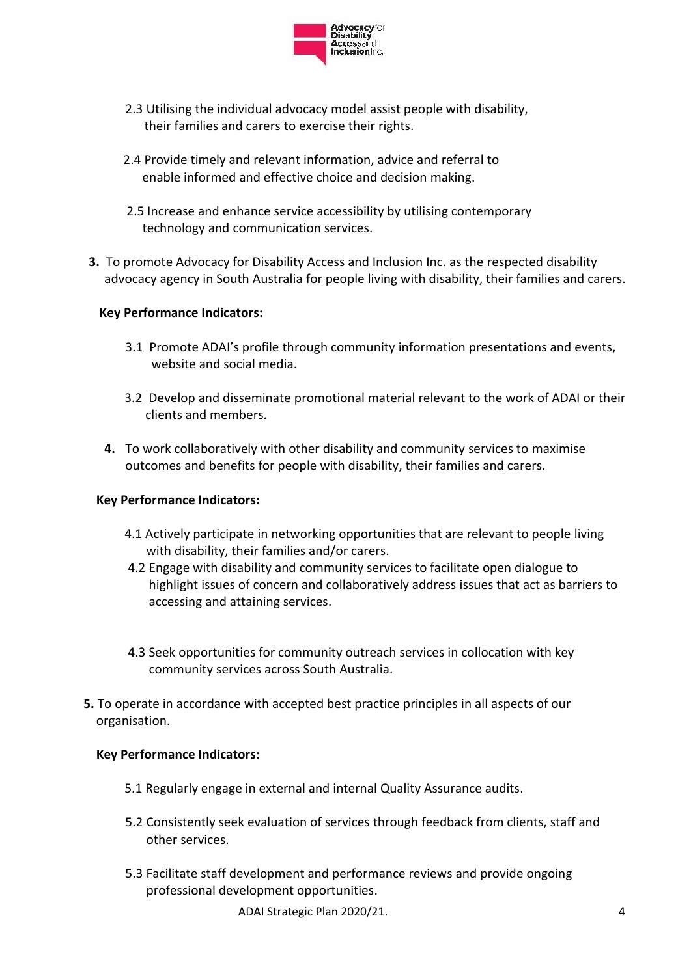

- 2.3 Utilising the individual advocacy model assist people with disability, their families and carers to exercise their rights.
- 2.4 Provide timely and relevant information, advice and referral to enable informed and effective choice and decision making.
- 2.5 Increase and enhance service accessibility by utilising contemporary technology and communication services.
- **3.** To promote Advocacy for Disability Access and Inclusion Inc. as the respected disability advocacy agency in South Australia for people living with disability, their families and carers.

### **Key Performance Indicators:**

- 3.1 Promote ADAI's profile through community information presentations and events, website and social media.
- 3.2 Develop and disseminate promotional material relevant to the work of ADAI or their clients and members.
- **4.** To work collaboratively with other disability and community services to maximise outcomes and benefits for people with disability, their families and carers.

### **Key Performance Indicators:**

- 4.1 Actively participate in networking opportunities that are relevant to people living with disability, their families and/or carers.
- 4.2 Engage with disability and community services to facilitate open dialogue to highlight issues of concern and collaboratively address issues that act as barriers to accessing and attaining services.
- 4.3 Seek opportunities for community outreach services in collocation with key community services across South Australia.
- **5.** To operate in accordance with accepted best practice principles in all aspects of our organisation.

### **Key Performance Indicators:**

- 5.1 Regularly engage in external and internal Quality Assurance audits.
- 5.2 Consistently seek evaluation of services through feedback from clients, staff and other services.
- 5.3 Facilitate staff development and performance reviews and provide ongoing professional development opportunities.

ADAI Strategic Plan 2020/21. 4